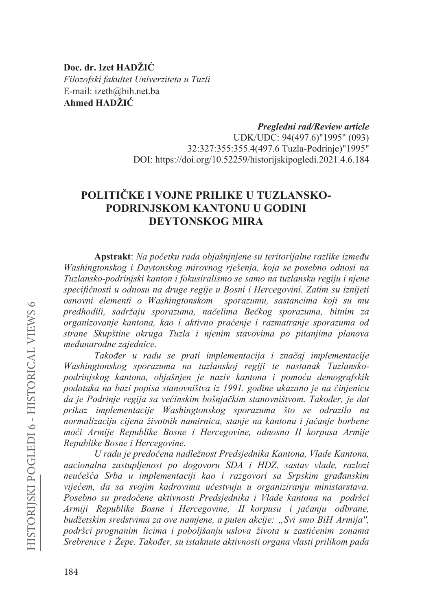Doc. dr. Izet HADŽIĆ Filozofski fakultet Univerziteta u Tuzli E-mail: izeth@bih.net.ba Ahmed HADŽIĆ

> Pregledni rad/Review article UDK/UDC: 94(497.6)"1995" (093) 32:327:355:355.4(497.6 Tuzla-Podrinie)"1995" DOI: https://doi.org/10.52259/historijskipogledi.2021.4.6.184

# POLITIČKE I VOJNE PRILIKE U TUZLANSKO-PODRINJSKOM KANTONU U GODINI **DEYTONSKOG MIRA**

Apstrakt: Na početku rada objašnjnjene su teritorijalne razlike između Washingtonskog i Daytonskog mirovnog rješenja, koja se posebno odnosi na Tuzlansko-podrinjski kanton i fokusiralismo se samo na tuzlansku regiju i njene specifičnosti u odnosu na druge regije u Bosni i Hercegovini. Zatim su iznijeti osnovni elementi o Washingtonskom sporazumu, sastancima koji su mu predhodili, sadržaju sporazuma, načelima Bečkog sporazuma, bitnim za organizovanje kantona, kao i aktivno praćenje i razmatranje sporazuma od strane Skupštine okruga Tuzla i njenim stavovima po pitanjima planova međunarodne zajednice.

Također u radu se prati implementacija i značaj implementacije Washingtonskog sporazuma na tuzlanskoj regiji te nastanak Tuzlanskopodrinjskog kantona, objašnjen je naziv kantona i pomoću demografskih podataka na bazi popisa stanovništva iz 1991. godine ukazano je na činjenicu da je Podrinje regija sa većinskim bošnjačkim stanovništvom. Također, je dat prikaz implementacije Washingtonskog sporazuma što se odrazilo na normalizaciju cijena životnih namirnica, stanje na kantonu i jačanje borbene moći Armije Republike Bosne i Hercegovine, odnosno II korpusa Armije Republike Bosne i Hercegovine.

U radu je predočena nadležnost Predsjednika Kantona, Vlade Kantona, nacionalna zastupljenost po dogovoru SDA i HDZ, sastav vlade, razlozi neučešća Srba u implementaciji kao i razgovori sa Srpskim građanskim vijećem, da sa svojim kadrovima učestvuju u organiziranju ministarstava. Posebno su predočene aktivnosti Predsjednika i Vlade kantona na podršci Armiji Republike Bosne i Hercegovine, II korpusu i jačanju odbrane, budžetskim sredstvima za ove namjene, a puten akcije: "Svi smo BiH Armija", podršci prognanim licima i poboljšanju uslova života u zastićenim zonama Srebrenice i Žepe. Također, su istaknute aktivnosti organa vlasti prilikom pada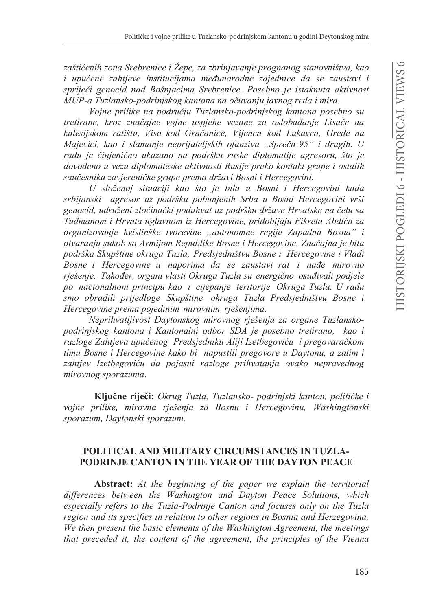zaštićenih zona Srebrenice i Žepe, za zbrinjavanje prognanog stanovništva, kao i upućene zahtjeve institucijama međunarodne zajednice da se zaustavi i spriječi genocid nad Bošnjacima Srebrenice. Posebno je istaknuta aktivnost MUP-a Tuzlansko-podrinjskog kantona na očuvanju javnog reda i mira.

Vojne prilike na području Tuzlansko-podrinjskog kantona posebno su tretirane, kroz značajne vojne uspjehe vezane za oslobađanje Lisače na kalesijskom ratištu, Visa kod Gračanice, Vijenca kod Lukavca, Grede na Majevici, kao i slamanje neprijateljskih ofanziva "Spreča-95" i drugih. U radu je činjenično ukazano na podršku ruske diplomatije agresoru, što je dovodeno u vezu diplomateske aktivnosti Rusije preko kontakt grupe i ostalih saučesnika zavjereničke grupe prema državi Bosni i Hercegovini.

U složenoj situaciji kao što je bila u Bosni i Hercegovini kada srbijanski agresor uz podršku pobunjenih Srba u Bosni Hercegovini vrši genocid, udruženi zločinački poduhvat uz podršku države Hrvatske na čelu sa Tuđmanom i Hrvata uglavnom iz Hercegovine, pridobijaju Fikreta Abdića za organizovanje kvislinške tvorevine "autonomne regije Zapadna Bosna" i otvaranju sukob sa Armijom Republike Bosne i Hercegovine. Značajna je bila podrška Skupštine okruga Tuzla, Predsjedništvu Bosne i Hercegovine i Vladi Bosne i Hercegovine u naporima da se zaustavi rat i nađe mirovno rješenje. Također, organi vlasti Okruga Tuzla su energično osuđivali podjele po nacionalnom principu kao i ciiepanie teritorije Okruga Tuzla. U radu smo obradili prijedloge Skupštine okruga Tuzla Predsjedništvu Bosne i Hercegovine prema pojedinim mirovnim rješenjima.

Neprihvatljivost Daytonskog mirovnog rješenja za organe Tuzlanskopodrinjskog kantona i Kantonalni odbor SDA je posebno tretirano, kao i razloge Zahtjeva upućenog Predsjedniku Aliji Izetbegoviću i pregovaračkom timu Bosne i Hercegovine kako bi napustili pregovore u Daytonu, a zatim i zahtjev Izetbegoviću da pojasni razloge prihvatanja ovako nepravednog mirovnog sporazuma.

Ključne riječi: Okrug Tuzla, Tuzlansko- podrinjski kanton, političke i vojne prilike, mirovna rješenja za Bosnu i Hercegovinu, Washingtonski sporazum, Davtonski sporazum.

# POLITICAL AND MILITARY CIRCUMSTANCES IN TUZLA-**PODRINJE CANTON IN THE YEAR OF THE DAYTON PEACE**

Abstract: At the beginning of the paper we explain the territorial differences between the Washington and Dayton Peace Solutions, which especially refers to the Tuzla-Podrinje Canton and focuses only on the Tuzla region and its specifics in relation to other regions in Bosnia and Herzegovina. We then present the basic elements of the Washington Agreement, the meetings that preceded it, the content of the agreement, the principles of the Vienna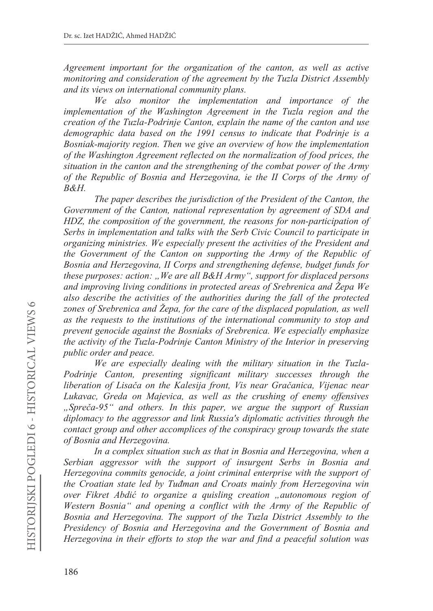*Agreement important for the organization of the canton, as well as active monitoring and consideration of the agreement by the Tuzla District Assembly and its views on international community plans.*

*We also monitor the implementation and importance of the implementation of the Washington Agreement in the Tuzla region and the creation of the Tuzla-Podrinje Canton, explain the name of the canton and use demographic data based on the 1991 census to indicate that Podrinje is a Bosniak-majority region. Then we give an overview of how the implementation of the Washington Agreement reflected on the normalization of food prices, the situation in the canton and the strengthening of the combat power of the Army of the Republic of Bosnia and Herzegovina, ie the II Corps of the Army of B&H.*

*The paper describes the jurisdiction of the President of the Canton, the Government of the Canton, national representation by agreement of SDA and HDZ, the composition of the government, the reasons for non-participation of Serbs in implementation and talks with the Serb Civic Council to participate in organizing ministries. We especially present the activities of the President and the Government of the Canton on supporting the Army of the Republic of Bosnia and Herzegovina, II Corps and strengthening defense, budget funds for these purposes: action: "We are all B&H Army", support for displaced persons and improving living conditions in protected areas of Srebrenica and äepa We also describe the activities of the authorities during the fall of the protected zones of Srebrenica and äepa, for the care of the displaced population, as well as the requests to the institutions of the international community to stop and prevent genocide against the Bosniaks of Srebrenica. We especially emphasize the activity of the Tuzla-Podrinje Canton Ministry of the Interior in preserving public order and peace.*

*We are especially dealing with the military situation in the Tuzla-Podrinje Canton, presenting significant military successes through the liberation of Lisaþa on the Kalesija front, Vis near Graþanica, Vijenac near Lukavac, Greda on Majevica, as well as the crushing of enemy offensives "Spreþa-95" and others. In this paper, we argue the support of Russian diplomacy to the aggressor and link Russia's diplomatic activities through the contact group and other accomplices of the conspiracy group towards the state of Bosnia and Herzegovina.* 

*In a complex situation such as that in Bosnia and Herzegovina, when a Serbian aggressor with the support of insurgent Serbs in Bosnia and Herzegovina commits genocide, a joint criminal enterprise with the support of the Croatian state led by Tuÿman and Croats mainly from Herzegovina win over Fikret Abdiü to organize a quisling creation "autonomous region of Western Bosnia" and opening a conflict with the Army of the Republic of Bosnia and Herzegovina. The support of the Tuzla District Assembly to the Presidency of Bosnia and Herzegovina and the Government of Bosnia and Herzegovina in their efforts to stop the war and find a peaceful solution was*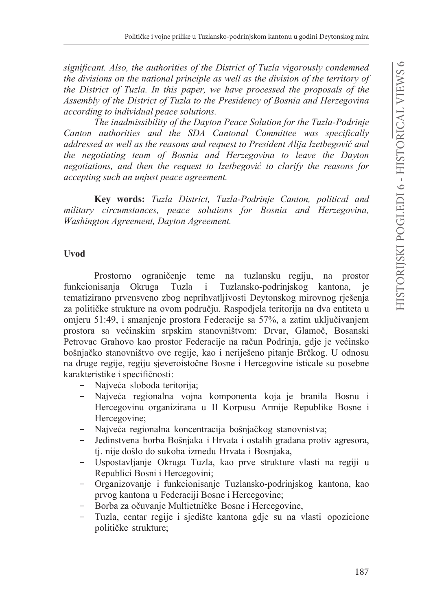significant. Also, the authorities of the District of Tuzla vigorously condemned the divisions on the national principle as well as the division of the territory of the District of Tuzla. In this paper, we have processed the proposals of the Assembly of the District of Tuzla to the Presidency of Bosnia and Herzegovina according to individual peace solutions.

The inadmissibility of the Dayton Peace Solution for the Tuzla-Podrinje Canton authorities and the SDA Cantonal Committee was specifically addressed as well as the reasons and request to President Alija Izetbegović and the negotiating team of Bosnia and Herzegovina to leave the Dayton negotiations, and then the request to Izetbegovic to clarify the reasons for accepting such an unjust peace agreement.

Key words: Tuzla District, Tuzla-Podrinje Canton, political and military circumstances, peace solutions for Bosnia and Herzegovina, Washington Agreement, Dayton Agreement.

# **Uvod**

Prostorno ograničenje teme na tuzlansku regiju, na prostor funkcionisanja Okruga Tuzla Tuzlansko-podrinjskog kantona, ie  $\mathbf{i}$ tematizirano prvensveno zbog neprihvatljivosti Deytonskog mirovnog rješenja za političke strukture na ovom području. Raspodjela teritorija na dva entiteta u omjeru 51:49, i smanjenje prostora Federacije sa 57%, a zatim uključivanjem prostora sa većinskim srpskim stanovništvom: Drvar, Glamoč, Bosanski Petrovac Grahovo kao prostor Federacije na račun Podrinja, gdje je većinsko bošnjačko stanovništvo ove regije, kao i neriješeno pitanje Brčkog. U odnosu na druge regije, regiju sjeveroistočne Bosne i Hercegovine isticale su posebne karakteristike i specifičnosti:

- Najveća sloboda teritorija;
- Najveća regionalna vojna komponenta koja je branila Bosnu i Hercegovinu organizirana u II Korpusu Armije Republike Bosne i Hercegovine:
- Najveća regionalna koncentracija bošnjačkog stanovnistva;
- Jedinstvena borba Bošnjaka i Hrvata i ostalih građana protiv agresora, tj. nije došlo do sukoba između Hrvata i Bosnjaka,
- Uspostavljanje Okruga Tuzla, kao prve strukture vlasti na regiji u Republici Bosni i Hercegovini;
- Organizovanje i funkcionisanje Tuzlansko-podrinjskog kantona, kao prvog kantona u Federaciji Bosne i Hercegovine;
- Borba za očuvanje Multietničke Bosne i Hercegovine,
- Tuzla, centar regije i sjedište kantona gdje su na vlasti opozicione političke strukture;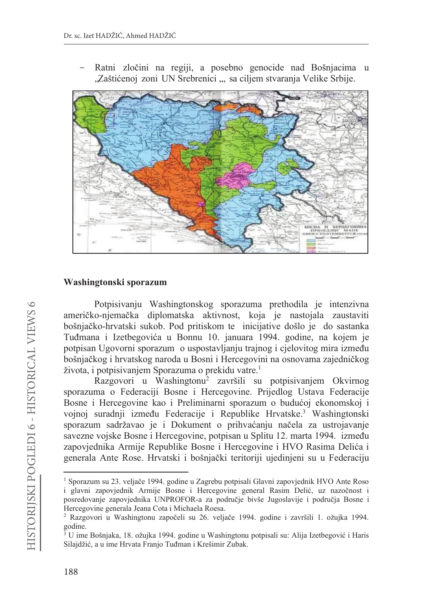

Ratni zločini na regiji, a posebno genocide nad Bošnjacima u "Zaštićenoj zoni UN Srebrenici ", sa ciljem stvaranja Velike Srbije.

### Washingtonski sporazum

Potpisivanju Washingtonskog sporazuma prethodila je intenzivna američko-njemačka diplomatska aktivnost, koja je nastojala zaustaviti bošnjačko-hrvatski sukob. Pod pritiskom te inicijative došlo je do sastanka Tuđmana i Izetbegovića u Bonnu 10. januara 1994. godine, na kojem je potpisan Ugovorni sporazum o uspostavljanju trajnog i cjelovitog mira između bošnjačkog i hrvatskog naroda u Bosni i Hercegovini na osnovama zajedničkog života, i potpisivanjem Sporazuma o prekidu vatre.<sup>1</sup>

Razgovori u Washingtonu<sup>2</sup> završili su potpisivanjem Okvirnog sporazuma o Federaciji Bosne i Hercegovine. Prijedlog Ustava Federacije Bosne i Hercegovine kao i Preliminarni sporazum o budućoj ekonomskoj i vojnoj suradnji između Federacije i Republike Hrvatske.<sup>3</sup> Washingtonski sporazum sadržavao je i Dokument o prihvaćanju načela za ustrojavanje savezne vojske Bosne i Hercegovine, potpisan u Splitu 12. marta 1994. između zapovjednika Armije Republike Bosne i Hercegovine i HVO Rasima Delića i generala Ante Rose. Hrvatski i bošnjački teritoriji ujedinjeni su u Federaciju

<sup>&</sup>lt;sup>1</sup> Sporazum su 23. veljače 1994. godine u Zagrebu potpisali Glavni zapovjednik HVO Ante Roso i glavni zapovjednik Armije Bosne i Hercegovine general Rasim Delić, uz nazočnost i posredovanje zapovjednika UNPROFOR-a za područje bivše Jugoslavije i područja Bosne i Hercegovine generala Jeana Cota i Michaela Roesa.

<sup>&</sup>lt;sup>2</sup> Razgovori u Washingtonu započeli su 26. veljače 1994. godine i završili 1. ožujka 1994. godine.

<sup>&</sup>lt;sup>3</sup> U ime Bošnjaka, 18. ožujka 1994. godine u Washingtonu potpisali su: Alija Izetbegović i Haris Silajdžić, a u ime Hrvata Franjo Tuđman i Krešimir Zubak.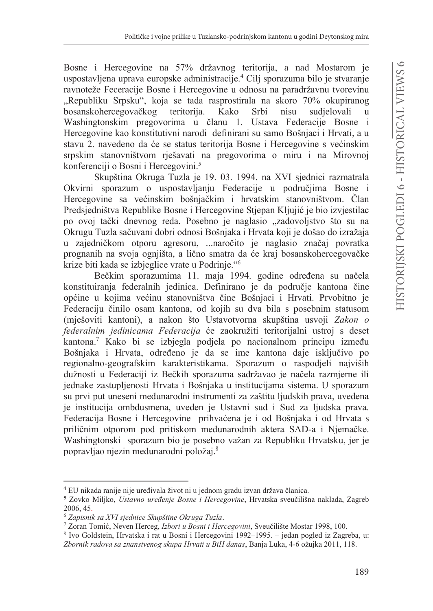Bosne i Hercegovine na 57% državnog teritorija, a nad Mostarom je uspostavljena uprava europske administracije.<sup>4</sup> Cilj sporazuma bilo je stvaranje ravnoteže Feceracije Bosne i Hercegovine u odnosu na paradržavnu tvorevinu "Republiku Srpsku", koja se tada rasprostirala na skoro 70% okupiranog bosanskohercegovačkog teritorija. Kako Srbi nisu sudielovali  $\mathbf{u}$ Washingtonskim pregovorima u članu 1. Ustava Federacije Bosne i Hercegovine kao konstitutivni narodi definirani su samo Bošnjaci i Hrvati, a u stavu 2. navedeno da će se status teritorija Bosne i Hercegovine s većinskim srpskim stanovništvom rješavati na pregovorima o miru i na Mirovnoj konferenciji o Bosni i Hercegovini.<sup>5</sup>

Skupština Okruga Tuzla je 19. 03. 1994. na XVI sjednici razmatrala Okvirni sporazum o uspostavljanju Federacije u područjima Bosne i Hercegovine sa većinskim bošnjačkim i hrvatskim stanovništvom. Član Predsjedništva Republike Bosne i Hercegovine Stjepan Kljujić je bio izvjestilac po ovoj tački dnevnog reda. Posebno je naglasio "zadovoljstvo što su na Okrugu Tuzla sačuvani dobri odnosi Bošnjaka i Hrvata koji je došao do izražaja u zajedničkom otporu agresoru, ... naročito je naglasio značaj povratka prognanih na svoja ognijišta, a lično smatra da će kraj bosanskohercegovačke krize biti kada se izbjeglice vrate u Podrinje."<sup>6</sup>

Bečkim sporazumima 11. maja 1994. godine određena su načela konstituiranja federalnih jedinica. Definirano je da područje kantona čine općine u kojima većinu stanovništva čine Bošnjaci i Hrvati. Prvobitno je Federaciju činilo osam kantona, od kojih su dva bila s posebnim statusom (mješoviti kantoni), a nakon što Ustavotvorna skupština usvoji Zakon o federalnim jedinicama Federacija će zaokružiti teritorijalni ustroj s deset kantona.<sup>7</sup> Kako bi se izbjegla podjela po nacionalnom principu između Bošnjaka i Hrvata, određeno je da se ime kantona daje isključivo po regionalno-geografskim karakteristikama. Sporazum o raspodjeli najviših dužnosti u Federaciji iz Bečkih sporazuma sadržavao je načela razmjerne ili jednake zastupljenosti Hrvata i Bošnjaka u institucijama sistema. U sporazum su prvi put uneseni međunarodni instrumenti za zaštitu ljudskih prava, uvedena je institucija ombdusmena, uveden je Ustavni sud i Sud za ljudska prava. Federacija Bosne i Hercegovine prihvaćena je i od Bošnjaka i od Hrvata s priličnim otporom pod pritiskom međunarodnih aktera SAD-a i Njemačke. Washingtonski sporazum bio je posebno važan za Republiku Hrvatsku, jer je popravljao njezin međunarodni položaj.<sup>8</sup>

<sup>&</sup>lt;sup>4</sup> EU nikada ranije nije uređivala život ni u jednom gradu izvan država članica.

<sup>&</sup>lt;sup>5</sup> Zovko Miljko, Ustavno uređenje Bosne i Hercegovine, Hrvatska sveučilišna naklada, Zagreb 2006, 45.

<sup>&</sup>lt;sup>6</sup> Zapisnik sa XVI sjednice Skupštine Okruga Tuzla.

<sup>7</sup> Zoran Tomić, Neven Herceg, Izbori u Bosni i Hercegovini, Sveučilište Mostar 1998, 100.

<sup>8</sup> Ivo Goldstein, Hrvatska i rat u Bosni i Hercegovini 1992–1995. – jedan pogled iz Zagreba, u: Zbornik radova sa znanstvenog skupa Hrvati u BiH danas, Banja Luka, 4-6 ožujka 2011, 118.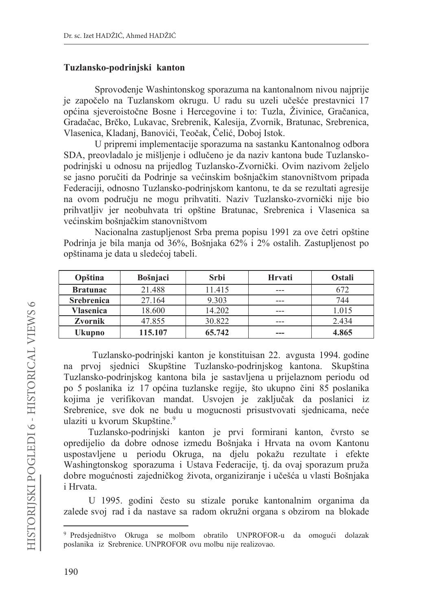### Tuzlansko-podrinjski kanton

Sprovođenje Washintonskog sporazuma na kantonalnom nivou najprije je započelo na Tuzlanskom okrugu. U radu su uzeli učešće prestavnici 17 općina sjeveroistočne Bosne i Hercegovine i to: Tuzla, Živinice, Gračanica, Gradačac, Brčko, Lukavac, Srebrenik, Kalesija, Zvornik, Bratunac, Srebrenica, Vlasenica, Kladanj, Banovići, Teočak, Čelić, Doboj Istok.

U pripremi implementacije sporazuma na sastanku Kantonalnog odbora SDA, preovladalo je mišljenje i odlučeno je da naziv kantona bude Tuzlanskopodrinjski u odnosu na prijedlog Tuzlansko-Zvornički. Ovim nazivom željelo se jasno poručiti da Podrinje sa većinskim bošnjačkim stanovništvom pripada Federaciji, odnosno Tuzlansko-podrinjskom kantonu, te da se rezultati agresije na ovom području ne mogu prihvatiti. Naziv Tuzlansko-zvornički nije bio prihvatljiv jer neobuhvata tri opštine Bratunac, Srebrenica i Vlasenica sa većinskim bošnjačkim stanovništvom

Nacionalna zastupljenost Srba prema popisu 1991 za ove četri opštine Podrinja je bila manja od 36%, Bošnjaka 62% i 2% ostalih. Zastupljenost po opštinama je data u sledećoj tabeli.

| Opština           | <b>Bošnjaci</b> | Srbi   | Hrvati | <b>Ostali</b> |
|-------------------|-----------------|--------|--------|---------------|
| <b>Bratunac</b>   | 21.488          | 11.415 | ---    | 672           |
| <b>Srebrenica</b> | 27.164          | 9.303  | ---    | 744           |
| Vlasenica         | 18.600          | 14.202 | ---    | 1.015         |
| Zvornik           | 47.855          | 30.822 | ---    | 2.434         |
| Ukupno            | 115.107         | 65.742 | ---    | 4.865         |

Tuzlansko-podrinjski kanton je konstituisan 22. avgusta 1994. godine na prvoj sjednici Skupštine Tuzlansko-podrinjskog kantona. Skupština Tuzlansko-podrinjskog kantona bila je sastavljena u prijelaznom periodu od po 5 poslanika iz 17 općina tuzlanske regije, što ukupno čini 85 poslanika kojima je verifikovan mandat. Usvojen je zaključak da poslanici iz Srebrenice, sve dok ne budu u mogucnosti prisustvovati sjednicama, neće ulaziti u kvorum Skupštine.<sup>9</sup>

Tuzlansko-podrinjski kanton je prvi formirani kanton, čvrsto se opredijelio da dobre odnose između Bošnjaka i Hrvata na ovom Kantonu uspostavljene u periodu Okruga, na djelu pokažu rezultate i efekte Washingtonskog sporazuma i Ustava Federacije, tj. da ovaj sporazum pruža dobre mogućnosti zajedničkog života, organiziranje i učešća u vlasti Bošnjaka *i* Hrvata.

U 1995. godini često su stizale poruke kantonalnim organima da zalede svoj rad i da nastave sa radom okružni organa s obzirom na blokade

<sup>&</sup>lt;sup>9</sup> Predsjedništvo Okruga se molbom obratilo UNPROFOR-u da omogući dolazak poslanika iz Srebrenice. UNPROFOR ovu molbu nije realizovao.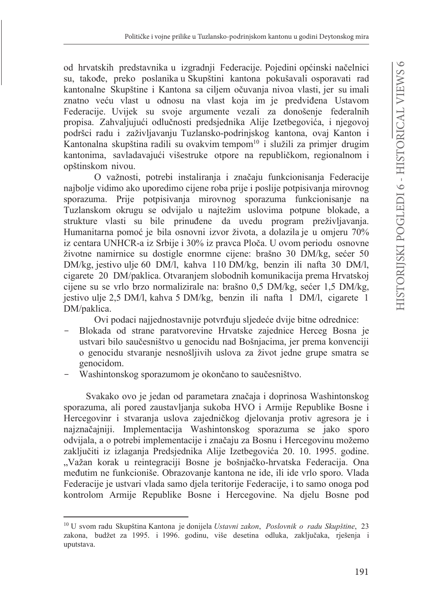od hrvatskih predstavnika u izgradnji Federacije. Pojedini općinski načelnici su, takođe, preko poslanika u Skupštini kantona pokušavali osporavati rad kantonalne Skupštine i Kantona sa ciljem očuvanja nivoa vlasti, jer su imali znatno veću vlast u odnosu na vlast koja im je predviđena Ustavom Federacije. Uvijek su svoje argumente vezali za donošenje federalnih propisa. Zahvaljujući odlučnosti predsjednika Alije Izetbegovića, i njegovoj podršci radu i zaživljavanju Tuzlansko-podrinjskog kantona, ovaj Kanton i Kantonalna skupština radili su ovakvim tempom<sup>10</sup> i služili za primier drugim kantonima, savladavajući višestruke otpore na republičkom, regionalnom i opštinskom nivou.

O važnosti, potrebi instaliranja i značaju funkcionisanja Federacije najbolje vidimo ako uporedimo cijene roba prije i poslije potpisivanja mirovnog sporazuma. Prije potpisivanja mirovnog sporazuma funkcionisanje na Tuzlanskom okrugu se odvijalo u najtežim uslovima potpune blokade, a strukture vlasti su bile prinuđene da uvedu program preživljavanja. Humanitarna pomoć je bila osnovni izvor života, a dolazila je u omjeru 70% iz centara UNHCR-a iz Srbije i 30% iz pravca Ploča. U ovom periodu osnovne životne namirnice su dostigle enormne cijene: brašno 30 DM/kg, sećer 50 DM/kg, jestivo ulje 60 DM/l, kahva 110 DM/kg, benzin ili nafta 30 DM/l, cigarete 20 DM/paklica. Otvaranjem slobodnih komunikacija prema Hrvatskoj cijene su se vrlo brzo normalizirale na: brašno 0,5 DM/kg, sećer 1,5 DM/kg, jestivo ulje 2,5 DM/l, kahva 5 DM/kg, benzin ili nafta 1 DM/l, cigarete 1 DM/paklica.

Ovi podaci najiednostavnije potvrđuju sljedeće dvije bitne odrednice:

- Blokada od strane paratvorevine Hrvatske zajednice Herceg Bosna je ustvari bilo saučesništvo u genocidu nad Bošnjacima, jer prema konvenciji o genocidu stvaranje nesnošljivih uslova za život jedne grupe smatra se genocidom.
- Washintonskog sporazumom je okončano to saučesništvo.

Svakako ovo je jedan od parametara značaja i doprinosa Washintonskog sporazuma, ali pored zaustavljanja sukoba HVO i Armije Republike Bosne i Hercegovinr i stvaranja uslova zajedničkog djelovanja protiv agresora je i najznačajniji. Implementacija Washintonskog sporazuma se jako sporo odvijala, a o potrebi implementacije i značaju za Bosnu i Hercegovinu možemo zaključiti iz izlaganja Predsjednika Alije Izetbegovića 20. 10. 1995. godine. "Važan korak u reintegraciji Bosne je bošnjačko-hrvatska Federacija. Ona međutim ne funkcioniše. Obrazovanje kantona ne ide, ili ide vrlo sporo. Vlada Federacije je ustvari vlada samo djela teritorije Federacije, i to samo onoga pod kontrolom Armije Republike Bosne i Hercegovine. Na djelu Bosne pod

<sup>&</sup>lt;sup>10</sup> U svom radu Skupština Kantona je donijela *Ustavni zakon, Poslovnik o radu Skupštine*, 23 zakona, budžet za 1995. i 1996. godinu, više desetina odluka, zaključaka, rješenja i uputstava.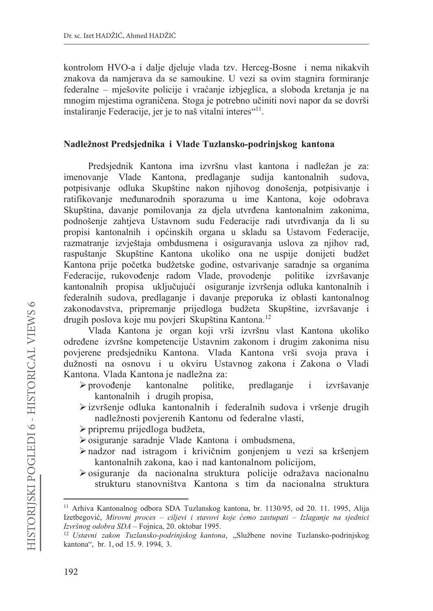kontrolom HVO-a i dalje djeluje vlada tzv. Herceg-Bosne i nema nikakvih znakova da namjerava da se samoukine. U vezi sa ovim stagnira formiranje federalne – mješovite policije i vraćanje izbjeglica, a sloboda kretanja je na mnogim mjestima ograničena. Stoga je potrebno učiniti novi napor da se dovrši instaliranje Federacije, jer je to naš vitalni interes"<sup>11</sup>.

### Nadležnost Predsjednika i Vlade Tuzlansko-podrinjskog kantona

Predsjednik Kantona ima izvršnu vlast kantona i nadležan je za: imenovanje Vlade Kantona, predlaganje sudija kantonalnih sudova, potpisivanje odluka Skupštine nakon njihovog donošenja, potpisivanje i ratifikovanje međunarodnih sporazuma u ime Kantona, koje odobrava Skupština, davanje pomilovanja za djela utvrđena kantonalnim zakonima, podnošenje zahtjeva Ustavnom sudu Federacije radi utvrđivanja da li su propisi kantonalnih i općinskih organa u skladu sa Ustavom Federacije. razmatranje izvještaja ombdusmena i osiguravanja uslova za njihov rad, raspuštanje Skupštine Kantona ukoliko ona ne uspije donijeti budžet Kantona prije početka budžetske godine, ostvarivanje saradnje sa organima Federacije, rukovođenje radom Vlade, provodenje politike izvršavanie kantonalnih propisa uključujući osiguranje izvršenja odluka kantonalnih i federalnih sudova, predlaganje i davanje preporuka iz oblasti kantonalnog zakonodavstva, pripremanje prijedloga budžeta Skupštine, izvršavanje i drugih poslova koje mu povjeri Skupština Kantona.<sup>12</sup>

Vlada Kantona je organ koji vrši izvršnu vlast Kantona ukoliko određene izvršne kompetencije Ustavnim zakonom i drugim zakonima nisu povjerene predsjedniku Kantona. Vlada Kantona vrši svoja prava i dužnosti na osnovu i u okviru Ustavnog zakona i Zakona o Vladi Kantona. Vlada Kantona je nadležna za:

- $\triangleright$  provođenje kantonalne predlaganje politike,  $\mathbf{i}$ izvršavanje kantonalnih i drugih propisa,
- > izvršenje odluka kantonalnih i federalnih sudova i vršenje drugih nadležnosti povjerenih Kantonu od federalne vlasti,
- > pripremu prijedloga budžeta,
- ≻ osiguranje saradnje Vlade Kantona i ombudsmena,
- > nadzor nad istragom i krivičnim gonjenjem u vezi sa kršenjem kantonalnih zakona, kao i nad kantonalnom policijom,
- > osiguranje da nacionalna struktura policije odražava nacionalnu strukturu stanovništva Kantona s tim da nacionalna struktura

<sup>&</sup>lt;sup>11</sup> Arhiva Kantonalnog odbora SDA Tuzlanskog kantona, br. 1130/95, od 20. 11. 1995, Alija Izetbegović, Mirovni proces – ciljevi i stavovi koje ćemo zastupati – Izlaganje na sjednici Izvršnog odobra SDA – Fojnica, 20. oktobar 1995.

<sup>&</sup>lt;sup>12</sup> Ustavni zakon Tuzlansko-podrinjskog kantona, "Službene novine Tuzlansko-podrinjskog kantona", br. 1, od 15.9. 1994, 3.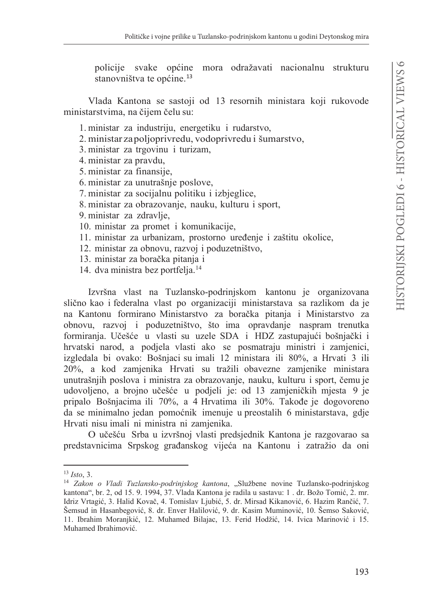policije svake općine mora odražavati nacionalnu strukturu stanovništva te općine.<sup>13</sup>

Vlada Kantona se sastoji od 13 resornih ministara koji rukovode ministarstvima, na čijem čelu su:

- 1. ministar za industriju, energetiku i rudarstvo,
- 2. ministar zapoljoprivredu, vodoprivredu i šumarstvo,
- 3. ministar za trgovinu i turizam,
- 4. ministar za pravdu,
- 5. ministar za finansije,
- 6. ministar za unutrašnje poslove,
- 7. ministar za socijalnu politiku i izbjeglice,
- 8. ministar za obrazovanje, nauku, kulturu i sport,
- 9. ministar za zdravlje,
- 10. ministar za promet i komunikacije,
- 11. ministar za urbanizam, prostorno uređenje i zaštitu okolice,
- 12. ministar za obnovu, razvoj i poduzetništvo,
- 13. ministar za boračka pitanja i
- 14. dva ministra bez portfelja.<sup>14</sup>

Izvršna vlast na Tuzlansko-podrinjskom kantonu je organizovana slično kao i federalna vlast po organizaciji ministarstava sa razlikom da je na Kantonu formirano Ministarstvo za boračka pitanja i Ministarstvo za obnovu, razvoj i poduzetništvo, što ima opravdanje naspram trenutka formiranja. Učešće u vlasti su uzele SDA i HDZ zastupajući bošnjački i hrvatski narod, a podjela vlasti ako se posmatraju ministri i zamjenici, izgledala bi ovako: Bošnjaci su imali 12 ministara ili 80%, a Hrvati 3 ili 20%, a kod zamjenika Hrvati su tražili obavezne zamjenike ministara unutrašnjih poslova i ministra za obrazovanje, nauku, kulturu i sport, čemu je udovoljeno, a brojno učešće u podjeli je: od 13 zamjeničkih mjesta 9 je pripalo Bošnjacima ili 70%, a 4 Hrvatima ili 30%. Takođe je dogovoreno da se minimalno jedan pomoćnik imenuje u preostalih 6 ministarstava, gdje Hrvati nisu imali ni ministra ni zamjenika.

O učešću Srba u izvršnoj vlasti predsjednik Kantona je razgovarao sa predstavnicima Srpskog građanskog vijeća na Kantonu i zatražio da oni

 $13$  Isto, 3.

<sup>&</sup>lt;sup>14</sup> Zakon o Vladi Tuzlansko-podrinjskog kantona, "Službene novine Tuzlansko-podrinjskog kantona", br. 2, od 15. 9. 1994, 37. Vlada Kantona je radila u sastavu: 1. dr. Božo Tomić, 2. mr. Idriz Vrtagić, 3. Halid Kovač, 4. Tomislav Ljubić, 5. dr. Mirsad Kikanović, 6. Hazim Rančić, 7. Šemsud in Hasanbegović, 8. dr. Enver Halilović, 9. dr. Kasim Muminović, 10. Šemso Saković, 11. Ibrahim Moranjkić, 12. Muhamed Bilajac, 13. Ferid Hodžić, 14. Ivica Marinović i 15. Muhamed Ibrahimović.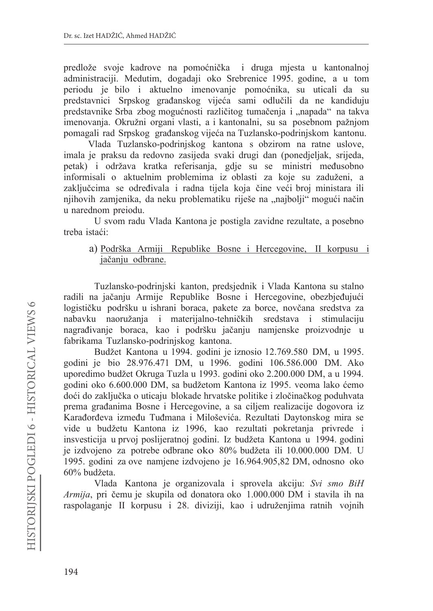predlože svoje kadrove na pomoćnička i druga mjesta u kantonalnoj administraciji. Međutim, događaji oko Srebrenice 1995. godine, a u tom periodu je bilo i aktuelno imenovanje pomoćnika, su uticali da su predstavnici Srpskog građanskog vijeća sami odlučili da ne kandiduju predstavnike Srba zbog mogućnosti različitog tumačenja i "napada" na takva imenovanja. Okružni organi vlasti, a i kantonalni, su sa posebnom pažnjom pomagali rad Srpskog građanskog vijeća na Tuzlansko-podrinjskom kantonu.

Vlada Tuzlansko-podrinjskog kantona s obzirom na ratne uslove, imala je praksu da redovno zasijeda svaki drugi dan (ponedjeljak, srijeda, petak) i održava kratka referisanja, gdje su se ministri međusobno informisali o aktuelnim problemima iz oblasti za koje su zaduženi, a zaključcima se određivala i radna tijela koja čine veći broj ministara ili njihovih zamjenika, da neku problematiku riješe na "najbolji" mogući način u narednom preiodu.

U svom radu Vlada Kantona je postigla zavidne rezultate, a posebno treba istaći:

a) Podrška Armiji Republike Bosne i Hercegovine, II korpusu i jačanju odbrane.

Tuzlansko-podrinjski kanton, predsjednik i Vlada Kantona su stalno radili na jačanju Armije Republike Bosne i Hercegovine, obezbjeđujući logističku podršku u ishrani boraca, pakete za borce, novčana sredstva za nabavku naoružanja i materijalno-tehničkih sredstava i stimulaciju nagrađivanje boraca, kao i podršku jačanju namjenske proizvodnje u fabrikama Tuzlansko-podrinjskog kantona.

Budžet Kantona u 1994. godini je iznosio 12.769.580 DM, u 1995. godini je bio 28.976.471 DM, u 1996. godini 106.586.000 DM. Ako uporedimo budžet Okruga Tuzla u 1993. godini oko 2.200.000 DM, a u 1994. godini oko 6.600.000 DM, sa budžetom Kantona iz 1995. veoma lako ćemo doći do zaključka o uticaju blokade hrvatske politike i zločinačkog poduhvata prema građanima Bosne i Hercegovine, a sa ciljem realizacije dogovora iz Karađorđeva između Tuđmana i Miloševića. Rezultati Daytonskog mira se vide u budžetu Kantona iz 1996, kao rezultati pokretanja privrede i insvesticija u prvoj poslijeratnoj godini. Iz budžeta Kantona u 1994. godini je izdvojeno za potrebe odbrane oko 80% budžeta ili 10.000.000 DM. U 1995. godini za ove namjene izdvojeno je 16.964.905,82 DM, odnosno oko  $60\%$  budžeta.

Vlada Kantona je organizovala i sprovela akciju: Svi smo BiH Armija, pri čemu je skupila od donatora oko 1.000.000 DM i stavila ih na raspolaganje II korpusu i 28. diviziji, kao i udruženjima ratnih vojnih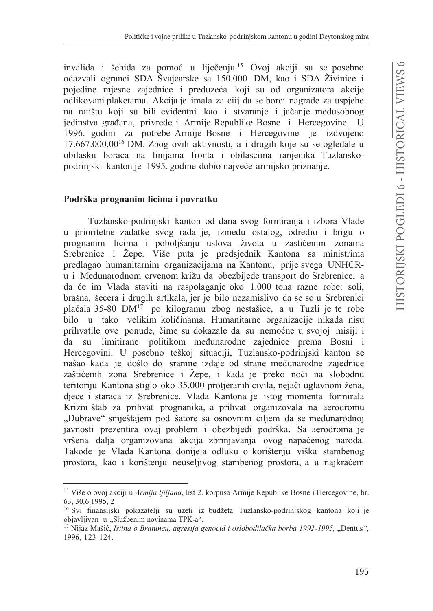invalida i šehida za pomoć u liječenju.<sup>15</sup> Ovoj akciji su se posebno odazvali ogranci SDA Švajcarske sa 150.000 DM, kao i SDA Živinice i pojedine mjesne zajednice i preduzeća koji su od organizatora akcije odlikovani plaketama. Akcija je imala za ciji da se borci nagrade za uspjehe na ratištu koji su bili evidentni kao i stvaranie i jačanie medusobnog jedinstva građana, privrede i Armije Republike Bosne i Hercegovine. U 1996. godini za potrebe Armije Bosne i Hercegovine je izdvojeno  $17.667.000.00^{16}$  DM. Zbog ovih aktivnosti, a i drugih koje su se ogledale u obilasku boraca na linijama fronta i obilascima ranjenika Tuzlanskopodrinjski kanton je 1995. godine dobio najveće armijsko priznanje.

### Podrška prognanim licima i povratku

Tuzlansko-podrinjski kanton od dana svog formiranja i izbora Vlade u prioritetne zadatke svog rada je, između ostalog, odredio i brigu o prognanim licima i poboljšanju uslova života u zastićenim zonama Srebrenice i Žepe. Više puta je predsjednik Kantona sa ministrima predlagao humanitarnim organizacijama na Kantonu, prije svega UNHCRu i Medunarodnom crvenom križu da obezbijede transport do Srebrenice, a da će im Vlada staviti na raspolaganje oko 1.000 tona razne robe: soli, brašna, šecera i drugih artikala, jer je bilo nezamislivo da se so u Srebrenici plaćala 35-80 DM<sup>17</sup> po kilogramu zbog nestašice, a u Tuzli je te robe bilo u tako velikim količinama. Humanitarne organizacije nikada nisu prihvatile ove ponude, čime su dokazale da su nemoćne u svojoj misiji i da su limitirane politikom međunarodne zajednice prema Bosni i Hercegovini. U posebno teškoj situaciji, Tuzlansko-podrinjski kanton se našao kada je došlo do sramne izdaje od strane međunarodne zajednice zaštićenih zona Srebrenice i Žepe, i kada je preko noći na slobodnu teritoriju Kantona stiglo oko 35.000 protjeranih civila, nejači uglavnom žena, djece i staraca iz Srebrenice. Vlada Kantona je istog momenta formirala Krizni štab za prihvat prognanika, a prihvat organizovala na aerodromu "Dubrave" smještajem pod šatore sa osnovnim ciljem da se međunarodnoj javnosti prezentira ovaj problem i obezbijedi podrška. Sa aerodroma je vršena dalja organizovana akcija zbrinjavanja ovog napaćenog naroda. Takođe je Vlada Kantona donijela odluku o korištenju viška stambenog prostora, kao i korištenju neuseljivog stambenog prostora, a u najkraćem

<sup>&</sup>lt;sup>15</sup> Više o ovoj akciji u Armija ljiljana, list 2. korpusa Armije Republike Bosne i Hercegovine, br. 63, 30.6.1995, 2

<sup>&</sup>lt;sup>16</sup> Svi finansijski pokazatelji su uzeti iz budžeta Tuzlansko-podrinjskog kantona koji je objavljivan u "Službenim novinama TPK-a".

<sup>&</sup>lt;sup>17</sup> Nijaz Mašić, *Istina o Bratuncu, agresija genocid i oslobodilačka borba 1992-1995*, "Dentus", 1996, 123-124.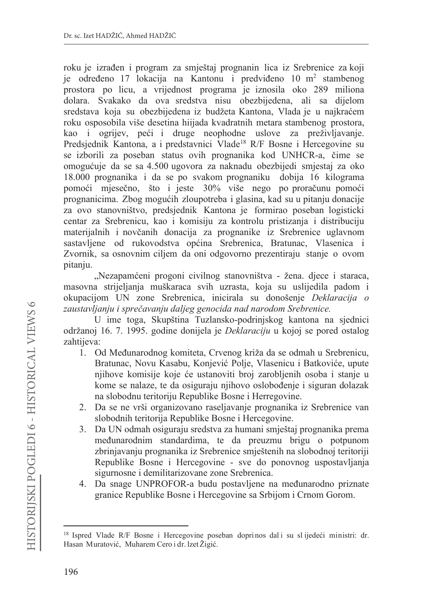roku je izrađen i program za smještaj prognanin lica iz Srebrenice za koji je određeno 17 lokacija na Kantonu i predviđeno 10 m<sup>2</sup> stambenog prostora po licu, a vrijednost programa je iznosila oko 289 miliona dolara. Svakako da ova sredstva nisu obezbijedena, ali sa dijelom sredstava koja su obezbijedena iz budžeta Kantona, Vlada je u najkraćem roku osposobila više desetina hiijada kvadratnih metara stambenog prostora, kao i ogrijev, peći i druge neophodne uslove za preživljavanje. Predsjednik Kantona, a i predstavnici Vlade<sup>18</sup> R/F Bosne i Hercegovine su se izborili za poseban status ovih prognanika kod UNHCR-a, čime se omogućuje da se sa 4.500 ugovora za naknadu obezbijedi smjestaj za oko 18.000 prognanika i da se po svakom prognaniku dobija 16 kilograma pomoći mjesečno, što i jeste 30% više nego po proračunu pomoći prognanicima. Zbog mogućih zloupotreba i glasina, kad su u pitanju donacije za ovo stanovništvo, predsjednik Kantona je formirao poseban logisticki centar za Srebrenicu, kao i komisiju za kontrolu pristizanja i distribuciju materijalnih i novčanih donacija za prognanike iz Srebrenice uglavnom sastavljene od rukovodstva općina Srebrenica, Bratunac, Vlasenica i Zvornik, sa osnovnim ciljem da oni odgovorno prezentiraju stanje o ovom pitanju.

"Nezapamćeni progoni civilnog stanovništva - žena. djece i staraca, masovna strijeljanja muškaraca svih uzrasta, koja su uslijedila padom i okupacijom UN zone Srebrenica, inicirala su donošenje Deklaracija o zaustavljanju i sprečavanju daljeg genocida nad narodom Srebrenice.

U ime toga, Skupština Tuzlansko-podrinjskog kantona na sjednici održanoj 16. 7. 1995. godine donijela je Deklaraciju u kojoj se pored ostalog zahtijeva:

- 1. Od Međunarodnog komiteta, Crvenog križa da se odmah u Srebrenicu, Bratunac, Novu Kasabu, Konjević Polje, Vlasenicu i Batkoviće, upute njihove komisije koje će ustanoviti broj zarobljenih osoba i stanje u kome se nalaze, te da osiguraju njihovo oslobođenje i siguran dolazak na slobodnu teritoriju Republike Bosne i Herregovine.
- 2. Da se ne vrši organizovano raseljavanje prognanika iz Srebrenice van slobodnih teritorija Republike Bosne i Hercegovine.
- 3. Da UN odmah osiguraju sredstva za humani smještaj prognanika prema međunarodnim standardima, te da preuzmu brigu o potpunom zbrinjavanju prognanika iz Srebrenice smještenih na slobodnoj teritoriji Republike Bosne i Hercegovine - sve do ponovnog uspostavljanja sigurnosne i demilitarizovane zone Srebrenica.
- 4. Da snage UNPROFOR-a budu postavljene na međunarodno priznate granice Republike Bosne i Hercegovine sa Srbijom i Crnom Gorom.

<sup>&</sup>lt;sup>18</sup> Ispred Vlade R/F Bosne i Hercegovine poseban doprinos dali su slijedeći ministri: dr. Hasan Muratović, Muharem Cero i dr. lzet Žigić.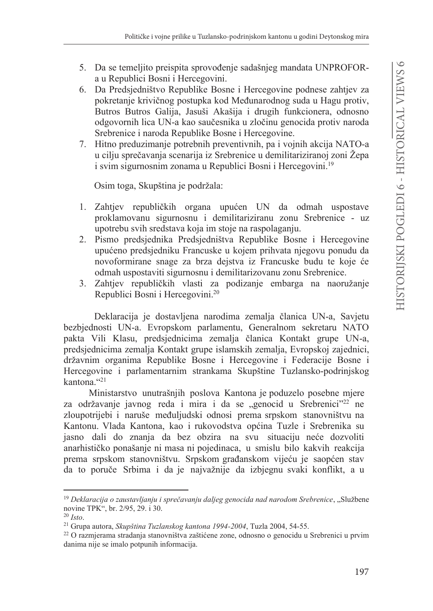- 5. Da se temelijto preispita sprovođenje sadašnjeg mandata UNPROFORa u Republici Bosni i Hercegovini.
- 6. Da Predsjedništvo Republike Bosne i Hercegovine podnese zahtjev za pokretanje krivičnog postupka kod Međunarodnog suda u Hagu protiv, Butros Butros Galija, Jasuši Akašija i drugih funkcionera, odnosno odgovornih lica UN-a kao saučesnika u zločinu genocida protiv naroda Srebrenice i naroda Republike Bosne i Hercegovine.
- 7. Hitno preduzimanje potrebnih preventivnih, pa i vojnih akcija NATO-a u cilju sprečavanja scenarija iz Srebrenice u demilitariziranoj zoni Žepa i svim sigurnosnim zonama u Republici Bosni i Hercegovini.<sup>19</sup>

Osim toga, Skupština je podržala:

- 1. Zahtjev republičkih organa upućen UN da odmah uspostave proklamovanu sigurnosnu i demilitariziranu zonu Srebrenice - uz upotrebu svih sredstava koja im stoje na raspolaganju.
- 2. Pismo predsjednika Predsjedništva Republike Bosne i Hercegovine upućeno predsjedniku Francuske u kojem prihvata njegovu ponudu da novoformirane snage za brza dejstva iz Francuske budu te koje će odmah uspostaviti sigurnosnu i demilitarizovanu zonu Srebrenice.
- 3. Zahtjev republičkih vlasti za podizanje embarga na naoružanje Republici Bosni i Hercegovini.<sup>20</sup>

Deklaracija je dostavljena narodima zemalja članica UN-a, Savjetu bezbjednosti UN-a. Evropskom parlamentu, Generalnom sekretaru NATO pakta Vili Klasu, predsjednicima zemalja članica Kontakt grupe UN-a, predsjednicima zemalja Kontakt grupe islamskih zemalja, Evropskoj zajednici, državnim organima Republike Bosne i Hercegovine i Federacije Bosne i Hercegovine i parlamentarnim strankama Skupštine Tuzlansko-podrinjskog kantona."21

Ministarstvo unutrašnjih poslova Kantona je poduzelo posebne mjere za održavanje javnog reda i mira i da se "genocid u Srebrenici"<sup>22</sup> ne zloupotrijebi i naruše međuljudski odnosi prema srpskom stanovništvu na Kantonu. Vlada Kantona, kao i rukovodstva općina Tuzle i Srebrenika su jasno dali do znanja da bez obzira na svu situaciju neće dozvoliti anarhističko ponašanje ni masa ni pojedinaca, u smislu bilo kakvih reakcija prema srpskom stanovništvu. Srpskom građanskom vijeću je saopćen stav da to poruče Srbima i da je najvažnije da izbjegnu svaki konflikt, a u

<sup>&</sup>lt;sup>19</sup> Deklaracija o zaustavljanju i sprečavanju daljeg genocida nad narodom Srebrenice, "Službene novine TPK", br. 2/95, 29. i 30.

 $20$  *Isto.* 

<sup>&</sup>lt;sup>21</sup> Grupa autora, Skupština Tuzlanskog kantona 1994-2004, Tuzla 2004, 54-55.

<sup>&</sup>lt;sup>22</sup> O razmjerama stradanja stanovništva zaštićene zone, odnosno o genocidu u Srebrenici u prvim danima nije se imalo potpunih informacija.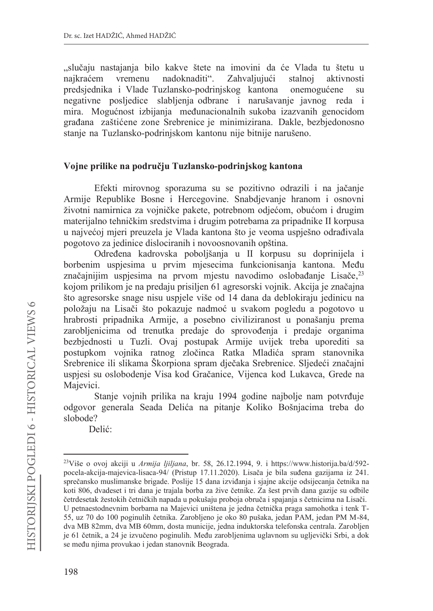"slučaju nastajanja bilo kakve štete na imovini da će Vlada tu štetu u nadoknaditi". Zahvaljujući naikraćem vremenu stalnoj aktivnosti predsjednika i Vlade Tuzlansko-podrinjskog kantona onemogućene su negativne posljedice slabljenja odbrane i narušavanje javnog reda i mira. Mogućnost izbijanja međunacionalnih sukoba izazvanih genocidom građana zaštićene zone Srebrenice je minimizirana. Dakle, bezbjedonosno stanje na Tuzlansko-podrinjskom kantonu nije bitnije narušeno.

### Vojne prilike na području Tuzlansko-podrinjskog kantona

Efekti mirovnog sporazuma su se pozitivno odrazili i na jačanje Armije Republike Bosne i Hercegovine. Snabdjevanje hranom i osnovni životni namirnica za vojničke pakete, potrebnom odjećom, obućom i drugim materijalno tehničkim sredstvima i drugim potrebama za pripadnike II korpusa u najvećoj mjeri preuzela je Vlada kantona što je veoma uspješno odrađivala pogotovo za jedinice dislociranih i novoosnovanih opština.

Određena kadrovska poboljšanja u II korpusu su doprinijela i borbenim uspjesima u prvim mjesecima funkcionisanja kantona. Među značajnijim uspjesima na prvom mjestu navodimo oslobađanje Lisače,<sup>23</sup> kojom prilikom je na predaju prisiljen 61 agresorski vojnik. Akcija je značajna što agresorske snage nisu uspjele više od 14 dana da deblokiraju jedinicu na položaju na Lisači što pokazuje nadmoć u svakom pogledu a pogotovo u hrabrosti pripadnika Armije, a posebno civiliziranost u ponašanju prema zarobljenicima od trenutka predaje do sprovođenja i predaje organima bezbjednosti u Tuzli. Ovaj postupak Armije uvijek treba uporediti sa postupkom vojnika ratnog zločinca Ratka Mladića spram stanovnika Srebrenice ili slikama Škorpiona spram dječaka Srebrenice. Sljedeći značajni uspjesi su oslobođenje Visa kod Gračanice, Vijenca kod Lukavca, Grede na Majevici.

Stanje vojnih prilika na kraju 1994 godine najbolje nam potvrđuje odgovor generala Seada Delića na pitanje Koliko Bošnjacima treba do slobode?

Delić:

<sup>&</sup>lt;sup>23</sup>Više o ovoj akciji u Armija ljiljana, br. 58, 26.12.1994, 9. i https://www.historija.ba/d/592pocela-akcija-majevica-lisaca-94/ (Pristup 17.11.2020). Lisača je bila suđena gazijama iz 241. sprečansko muslimanske brigade. Poslije 15 dana izviđanja i sjajne akcije odsijecanja četnika na koti 806, dvadeset i tri dana je trajala borba za žive četnike. Za šest prvih dana gazije su odbile četrdesetak žestokih četničkih napada u pokušaju proboja obruča i spajanja s četnicima na Lisači. U petnaestodnevnim borbama na Majevici uništena je jedna četnička praga samohotka i tenk T-55, uz 70 do 100 poginulih četnika. Zarobljeno je oko 80 pušaka, jedan PAM, jedan PM M-84, dva MB 82mm, dva MB 60mm, dosta municije, jedna induktorska telefonska centrala. Zarobljen je 61 četnik, a 24 je izvučeno poginulih. Među zarobljenima uglavnom su ugljevički Srbi, a dok se među njima provukao i jedan stanovnik Beograda.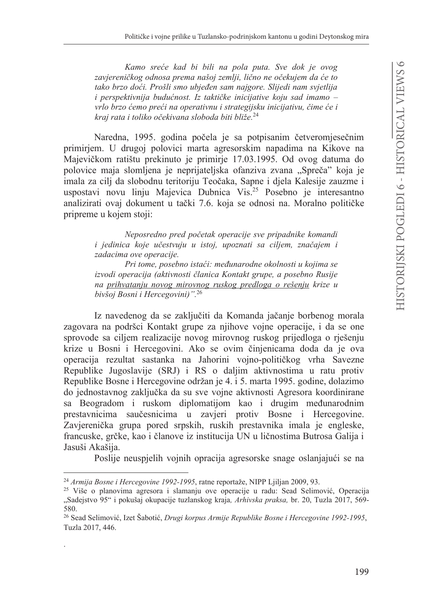Kamo sreće kad bi bili na pola puta. Sve dok je ovog zavjereničkog odnosa prema našoj zemlji, lično ne očekujem da će to tako brzo doći. Prošli smo ubjeđen sam najgore. Slijedi nam svjetlija i perspektivnija budućnost. Iz taktičke inicijative koju sad imamo vrlo brzo ćemo preći na operativnu i strategijsku inicijativu, čime će i kraj rata i toliko očekivana sloboda biti bliže.<sup>24</sup>

Naredna, 1995. godina počela je sa potpisanim četveromjesečnim primirjem. U drugoj polovici marta agresorskim napadima na Kikove na Majevičkom ratištu prekinuto je primirje 17.03.1995. Od ovog datuma do polovice maja slomljena je neprijateljska ofanziva zvana "Spreča" koja je imala za cilj da slobodnu teritoriju Teočaka, Sapne i djela Kalesije zauzme i uspostavi novu linju Majevica Dubnica Vis.<sup>25</sup> Posebno je interesantno analizirati ovaj dokument u tački 7.6. koja se odnosi na. Moralno političke pripreme u kojem stoji:

> Neposredno pred početak operacije sve pripadnike komandi i jedinica koje učestvuju u istoj, upoznati sa ciljem, značajem i zadacima ove operacije.

> Pri tome, posebno istaći: međunarodne okolnosti u kojima se izvodi operacija (aktivnosti članica Kontakt grupe, a posebno Rusije na prihvatanju novog mirovnog ruskog predloga o rešenju krize u bivšoj Bosni i Hercegovini)".<sup>26</sup>

Iz navedenog da se zaključiti da Komanda jačanje borbenog morala zagovara na podršci Kontakt grupe za njihove vojne operacije, i da se one sprovode sa ciljem realizacije novog mirovnog ruskog prijedloga o rješenju krize u Bosni i Hercegovini. Ako se ovim činjenicama doda da je ova operacija rezultat sastanka na Jahorini vojno-političkog vrha Savezne Republike Jugoslavije (SRJ) i RS o daljim aktivnostima u ratu protiv Republike Bosne i Hercegovine održan je 4. i 5. marta 1995. godine, dolazimo do jednostavnog zaključka da su sve vojne aktivnosti Agresora koordinirane sa Beogradom i ruskom diplomatijom kao i drugim međunarodnim prestavnicima saučesnicima u zavjeri protiv Bosne i Hercegovine. Zavjerenička grupa pored srpskih, ruskih prestavnika imala je engleske, francuske, grčke, kao i članove iz institucija UN u ličnostima Butrosa Galija i Jasuši Akašija.

Poslije neuspjelih vojnih opracija agresorske snage oslanjajući se na

<sup>&</sup>lt;sup>24</sup> Armija Bosne i Hercegovine 1992-1995, ratne reportaže, NIPP Ljiljan 2009, 93.

<sup>&</sup>lt;sup>25</sup> Više o planovima agresora i slamanju ove operacije u radu: Sead Selimović, Operacija "Sadejstvo 95" i pokušaj okupacije tuzlanskog kraja, Arhivska praksa, br. 20, Tuzla 2017, 569-580.

<sup>&</sup>lt;sup>26</sup> Sead Selimović, Izet Šabotić, Drugi korpus Armije Republike Bosne i Hercegovine 1992-1995, Tuzla 2017, 446.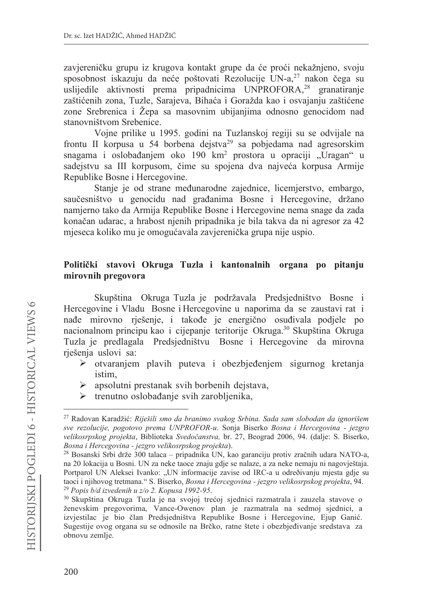zavjereničku grupu iz krugova kontakt grupe da će proći nekažnjeno, svoju sposobnost iskazuju da neće poštovati Rezolucije UN-a,<sup>27</sup> nakon čega su uslijedile aktivnosti prema pripadnicima UNPROFORA,<sup>28</sup> granatiranje zaštićenih zona, Tuzle, Sarajeva, Bihaća i Goražda kao i osvajanju zaštićene zone Srebrenica i Žepa sa masovnim ubijanjima odnosno genocidom nad stanovništvom Srebenice.

Vojne prilike u 1995. godini na Tuzlanskoj regiji su se odvijale na frontu II korpusa u 54 borbena dejstva<sup>29</sup> sa pobjedama nad agresorskim snagama i oslobađanjem oko 190 km<sup>2</sup> prostora u opraciji "Uragan" u sadejstvu sa III korpusom, čime su spojena dva najveća korpusa Armije Republike Bosne i Hercegovine.

Stanje je od strane međunarodne zajednice, licemjerstvo, embargo, saučesništvo u genocidu nad građanima Bosne i Hercegovine, držano namjerno tako da Armija Republike Bosne i Hercegovine nema snage da zada konačan udarac, a hrabost njenih pripadnika je bila takva da ni agresor za 42 mjeseca koliko mu je omogućavala zavjerenička grupa nije uspio.

### Politički stavovi Okruga Tuzla i kantonalnih organa po pitanju mirovnih pregovora

Skupština Okruga Tuzla je podržavala Predsjedništvo Bosne i Hercegovine i Vladu Bosne i Hercegovine u naporima da se zaustavi rat i nađe mirovno rješenje, i takođe je energično osuđivala podjele po nacionalnom principu kao i cijepanje teritorije Okruga.<sup>30</sup> Skupština Okruga Tuzla je predlagala Predsjedništvu Bosne i Hercegovine da mirovna rješenja uslovi sa:

- otvaranjem plavih puteva i obezbjeđenjem sigurnog kretanja ≻ istim.
- $\triangleright$  apsolutni prestanak svih borbenih dejstava,
- $\triangleright$  trenutno oslobađanje svih zarobljenika,

<sup>&</sup>lt;sup>27</sup> Radovan Karadžić: Riješili smo da branimo svakog Srbina. Sada sam slobodan da ignorišem sve rezolucije, pogotovo prema UNPROFOR-u. Sonja Biserko Bosna i Hercegovina - jezgro velikosrpskog projekta, Biblioteka Svedočanstva, br. 27, Beograd 2006, 94. (dalje: S. Biserko, Bosna i Hercegovina - jezgro velikosrpskog projekta).

<sup>&</sup>lt;sup>28</sup> Bosanski Srbi drže 300 talaca – pripadnika UN, kao garanciju protiv zračnih udara NATO-a, na 20 lokacija u Bosni. UN za neke taoce znaju gdje se nalaze, a za neke nemaju ni nagovještaja. Portparol UN Aleksei Ivanko: "UN informacije zavise od IRC-a u određivanju mjesta gdje su taoci i njihovog tretmana." S. Biserko, Bosna i Hercegovina - jezgro velikosrpskog projekta, 94. <sup>29</sup> Popis b/d izvedenih u z/o 2. Kopusa 1992-95.

<sup>&</sup>lt;sup>30</sup> Skupština Okruga Tuzla je na svojoj trećoj sjednici razmatrala i zauzela stavove o ženevskim pregovorima, Vance-Owenov plan je razmatrala na sedmoj sjednici, a izvjestilac je bio član Predsjedništva Republike Bosne i Hercegovine, Ejup Ganić. Sugestije ovog organa su se odnosile na Brčko, ratne štete i obezbjeđivanje sredstava za obnovu zemlje.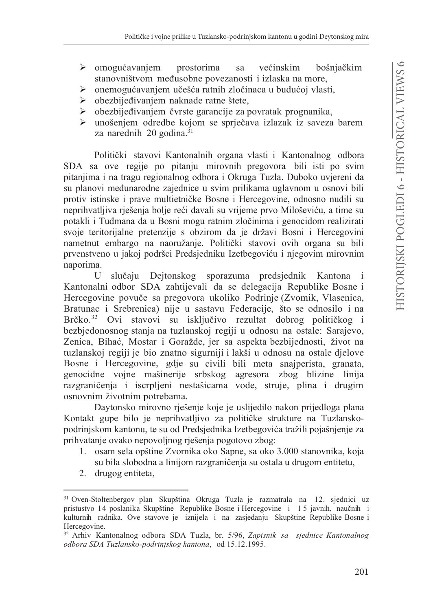- $\triangleright$  omogućavaniem prostorima sa većinskim bošniačkim stanovništvom međusobne povezanosti i izlaska na more,
- > onemogućavanjem učešća ratnih zločinaca u budućoj vlasti,
- $\triangleright$  obezbijeđivanjem naknade ratne štete,
- obezbijeđivanjem čvrste garancije za povratak prognanika,  $\blacktriangleright$
- unošenjem odredbe kojom se sprječava izlazak iz saveza barem  $\blacktriangleright$ za narednih 20 godina. $31$

Politički stavovi Kantonalnih organa vlasti i Kantonalnog odbora SDA sa ove regije po pitanju mirovnih pregovora bili isti po svim pitanjima i na tragu regionalnog odbora i Okruga Tuzla. Duboko uvjereni da su planovi međunarodne zajednice u svim prilikama uglavnom u osnovi bili protiv istinske i prave multietničke Bosne i Hercegovine, odnosno nudili su neprihvatljiva rješenja bolje reći davali su vrijeme prvo Miloševiću, a time su potakli i Tuđmana da u Bosni mogu ratnim zločinima i genocidom realizirati svoje teritorijalne pretenzije s obzirom da je državi Bosni i Hercegovini nametnut embargo na naoružanje. Politički stavovi ovih organa su bili prvenstveno u jakoj podršci Predsjedniku Izetbegoviću i njegovim mirovnim naporima.

U slučaju Dejtonskog sporazuma predsjednik Kantona i Kantonalni odbor SDA zahtijevali da se delegacija Republike Bosne i Hercegovine povuče sa pregovora ukoliko Podrinje (Zvomik, Vlasenica, Bratunac i Srebrenica) nije u sastavu Federacije, što se odnosilo i na Brčko.<sup>32</sup> Ovi stavovi su isključivo rezultat dobrog političkog i bezbjedonosnog stanja na tuzlanskoj regiji u odnosu na ostale: Sarajevo, Zenica, Bihać, Mostar i Goražde, jer sa aspekta bezbijednosti, život na tuzlanskoj regiji je bio znatno sigurniji i lakši u odnosu na ostale djelove Bosne i Hercegovine, gdje su civili bili meta snajperista, granata, genocidne vojne mašinerije srbskog agresora zbog blizine linija razgraničenja i iscrpljeni nestašicama vode, struje, plina i drugim osnovnim životnim potrebama.

Daytonsko mirovno rješenje koje je uslijedilo nakon prijedloga plana Kontakt gupe bilo je neprihvatljivo za političke strukture na Tuzlanskopodrinjskom kantonu, te su od Predsjednika Izetbegovića tražili pojašnjenje za prihvatanje ovako nepovoljnog rješenja pogotovo zbog:

- 1. osam sela opštine Zvornika oko Sapne, sa oko 3.000 stanovnika, koja su bila slobodna a linijom razgraničenja su ostala u drugom entitetu,
- 2. drugog entiteta,

<sup>31</sup> Oven-Stoltenbergov plan Skupština Okruga Tuzla je razmatrala na 12. sjednici uz pristustvo 14 poslanika Skupštine Republike Bosne i Hercegovine i 15 javnih, naučnih i kulturnih radnika. Ove stavove je iznijela i na zasjedanju Skupštine Republike Bosne i Hercegovine.

<sup>&</sup>lt;sup>32</sup> Arhiv Kantonalnog odbora SDA Tuzla, br. 5/96, Zapisnik sa sjednice Kantonalnog odbora SDA Tuzlansko-podrinjskog kantona, od 15.12.1995.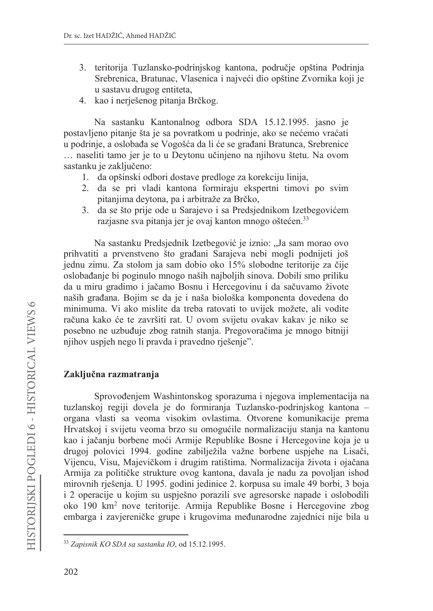- 3. teritorija Tuzlansko-podrinjskog kantona, područje opština Podrinja Srebrenica, Bratunac, Vlasenica i najveći dio opštine Zvornika koji je u sastavu drugog entiteta,
- 4. kao i nerješenog pitanja Brčkog.

Na sastanku Kantonalnog odbora SDA 15.12.1995. jasno je postavljeno pitanje šta je sa povratkom u podrinje, ako se nećemo vraćati u podrinie, a oslobađa se Vogošća da li će se građani Bratunca, Srebrenice ... naseliti tamo jer je to u Deytonu učinjeno na njihovu štetu. Na ovom sastanku je zaključeno:

- 1. da opšinski odbori dostave predloge za korekciju linija,
- 2. da se pri vladi kantona formiraju ekspertni timovi po svim pitanjima devtona, pa i arbitraže za Brčko,
- 3. da se što prije ode u Sarajevo i sa Predsjednikom Izetbegovićem razjasne sva pitanja jer je ovaj kanton mnogo oštećen.<sup>33</sup>

Na sastanku Predsjednik Izetbegović je iznio: "Ja sam morao ovo prihvatiti a prvenstveno što građani Sarajeva nebi mogli podnijeti još jednu zimu. Za stolom ja sam dobio oko 15% slobodne teritorije za čije oslobađanje bi poginulo mnogo naših najboljih sinova. Dobili smo priliku da u miru gradimo i jačamo Bosnu i Hercegovinu i da sačuvamo živote naših građana. Bojim se da je i naša biološka komponenta dovedena do minimuma. Vi ako mislite da treba ratovati to uvijek možete, ali vodite računa kako će te završiti rat. U ovom svijetu ovakav kakav je niko se posebno ne uzbuđuje zbog ratnih stanja. Pregovoračima je mnogo bitniji njihov uspjeh nego li pravda i pravedno rješenje".

# Zaključna razmatranja

Sprovođenjem Washintonskog sporazuma i njegova implementacija na tuzlanskoj regiji dovela je do formiranja Tuzlansko-podrinjskog kantona organa vlasti sa veoma visokim ovlastima. Otvorene komunikacije prema Hrvatskoj i svijetu veoma brzo su omogućile normalizaciju stanja na kantonu kao i jačanju borbene moći Armije Republike Bosne i Hercegovine koja je u drugoj polovici 1994. godine zabilježila važne borbene uspjehe na Lisači, Vijencu, Visu, Majevičkom i drugim ratištima. Normalizacija života i ojačana Armija za političke strukture ovog kantona, davala je nadu za povoljan ishod mirovnih rješenja. U 1995. godini jedinice 2. korpusa su imale 49 borbi, 3 boja i 2 operacije u kojim su uspješno porazili sve agresorske napade i oslobodili oko 190 km<sup>2</sup> nove teritorije. Armija Republike Bosne i Hercegovine zbog embarga i zavjereničke grupe i krugovima međunarodne zajednici nije bila u

<sup>&</sup>lt;sup>33</sup> Zapisnik KO SDA sa sastanka IO, od 15.12.1995.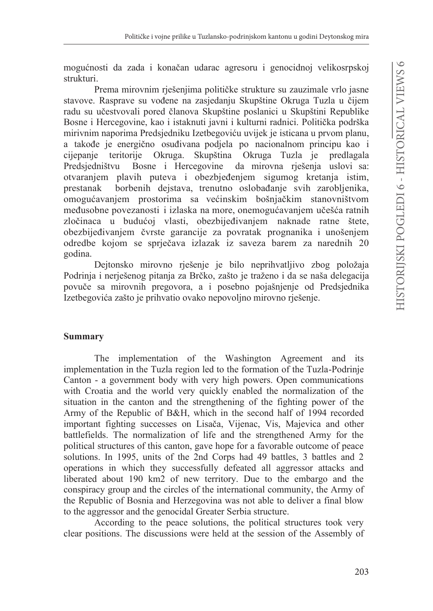mogućnosti da zada i konačan udarac agresoru i genocidnoj velikosrpskoj strukturi.

Prema mirovnim rješenjima političke strukture su zauzimale vrlo jasne stavove. Rasprave su vođene na zasjedanju Skupštine Okruga Tuzla u čijem radu su učestvovali pored članova Skupštine poslanici u Skupštini Republike Bosne i Hercegovine, kao i istaknuti javni i kulturni radnici. Politička podrška mirivnim naporima Predsjedniku Izetbegoviću uvijek je isticana u prvom planu, a takođe je energično osuđivana podjela po nacionalnom principu kao i Skupština Okruga Tuzla je cijepanie teritorije Okruga. predlagala Predsjedništvu Bosne i Hercegovine da mirovna riešenja uslovi sa: otvaranjem plavih puteva i obezbjeđenjem sigumog kretanja istim, prestanak borbenih dejstava, trenutno oslobađanje svih zarobljenika, omogućavanjem prostorima sa većinskim bošnjačkim stanovništvom međusobne povezanosti i izlaska na more, onemogućavanjem učešća ratnih zločinaca u budućoj vlasti, obezbijeđivanjem naknade ratne štete, obezbijeđivanjem čvrste garancije za povratak prognanika i unošenjem odredbe kojom se sprječava izlazak iz saveza barem za narednih 20 godina.

Dejtonsko mirovno rješenje je bilo neprihvatljivo zbog položaja Podrinja i nerješenog pitanja za Brčko, zašto je traženo i da se naša delegacija povuče sa mirovnih pregovora, a i posebno pojašnjenje od Predsjednika Izetbegovića zašto je prihvatio ovako nepovoljno mirovno rješenje.

# **Summary**

The implementation of the Washington Agreement and its implementation in the Tuzla region led to the formation of the Tuzla-Podrinje Canton - a government body with very high powers. Open communications with Croatia and the world very quickly enabled the normalization of the situation in the canton and the strengthening of the fighting power of the Army of the Republic of B&H, which in the second half of 1994 recorded important fighting successes on Lisača, Vijenac, Vis, Majevica and other battlefields. The normalization of life and the strengthened Army for the political structures of this canton, gave hope for a favorable outcome of peace solutions. In 1995, units of the 2nd Corps had 49 battles, 3 battles and 2 operations in which they successfully defeated all aggressor attacks and liberated about 190 km2 of new territory. Due to the embargo and the conspiracy group and the circles of the international community, the Army of the Republic of Bosnia and Herzegovina was not able to deliver a final blow to the aggressor and the genocidal Greater Serbia structure.

According to the peace solutions, the political structures took very clear positions. The discussions were held at the session of the Assembly of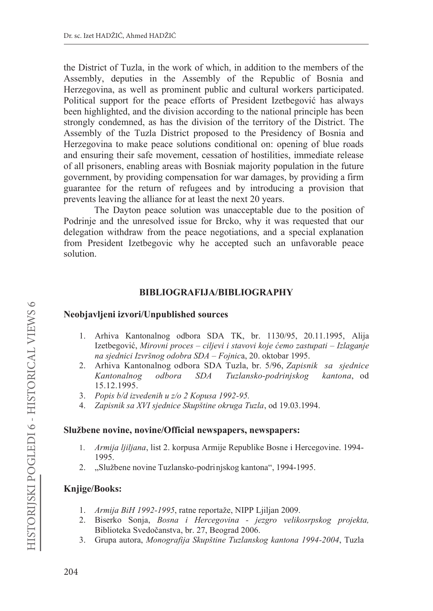the District of Tuzla, in the work of which, in addition to the members of the Assembly, deputies in the Assembly of the Republic of Bosnia and Herzegovina, as well as prominent public and cultural workers participated. Political support for the peace efforts of President Izetbegović has always been highlighted, and the division according to the national principle has been strongly condemned, as has the division of the territory of the District. The Assembly of the Tuzla District proposed to the Presidency of Bosnia and Herzegovina to make peace solutions conditional on: opening of blue roads and ensuring their safe movement, cessation of hostilities, immediate release of all prisoners, enabling areas with Bosniak majority population in the future government, by providing compensation for war damages, by providing a firm guarantee for the return of refugees and by introducing a provision that prevents leaving the alliance for at least the next 20 years.

The Dayton peace solution was unacceptable due to the position of Podrinje and the unresolved issue for Brcko, why it was requested that our delegation withdraw from the peace negotiations, and a special explanation from President Izetbegovic why he accepted such an unfavorable peace solution

# **BIBLIOGRAFIJA/BIBLIOGRAPHY**

### Neobjavljeni izvori/Unpublished sources

- 1. Arhiva Kantonalnog odbora SDA TK, br. 1130/95, 20.11.1995, Alija Izetbegović, Mirovni proces – ciljevi i stavovi koje ćemo zastupati – Izlaganje na sjednici Izvršnog odobra SDA – Fojnica, 20. oktobar 1995.
- 2. Arhiva Kantonalnog odbora SDA Tuzla, br. 5/96, Zapisnik sa sjednice odbora Tuzlansko-podrinjskog Kantonalnog *SDA* kantona, od 15.12.1995.
- 3. Popis b/d izvedenih u z/o 2 Kopusa 1992-95.
- Zapisnik sa XVI sjednice Skupštine okruga Tuzla, od 19.03.1994.  $\overline{4}$ .

### Službene novine, novine/Official newspapers, newspapers:

- $1.$ Armija ljiljana, list 2. korpusa Armije Republike Bosne i Hercegovine. 1994-1995.
- 2. "Službene novine Tuzlansko-podrinjskog kantona", 1994-1995.

### **Knjige/Books:**

- 1. Armija BiH 1992-1995, ratne reportaže, NIPP Ljiljan 2009.
- 2. Biserko Sonja, Bosna i Hercegovina jezgro velikosrpskog projekta, Biblioteka Svedočanstva, br. 27, Beograd 2006.
- 3. Grupa autora, Monografija Skupštine Tuzlanskog kantona 1994-2004, Tuzla